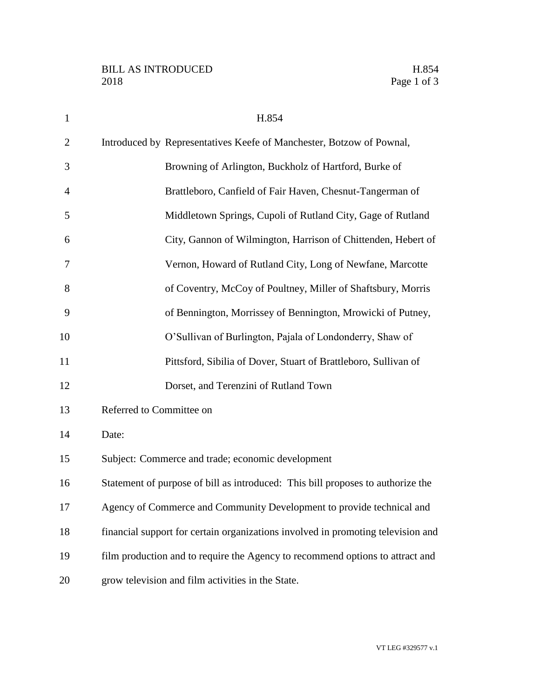| $\mathbf{1}$   | H.854                                                                            |
|----------------|----------------------------------------------------------------------------------|
| $\overline{2}$ | Introduced by Representatives Keefe of Manchester, Botzow of Pownal,             |
| 3              | Browning of Arlington, Buckholz of Hartford, Burke of                            |
| $\overline{4}$ | Brattleboro, Canfield of Fair Haven, Chesnut-Tangerman of                        |
| 5              | Middletown Springs, Cupoli of Rutland City, Gage of Rutland                      |
| 6              | City, Gannon of Wilmington, Harrison of Chittenden, Hebert of                    |
| 7              | Vernon, Howard of Rutland City, Long of Newfane, Marcotte                        |
| 8              | of Coventry, McCoy of Poultney, Miller of Shaftsbury, Morris                     |
| 9              | of Bennington, Morrissey of Bennington, Mrowicki of Putney,                      |
| 10             | O'Sullivan of Burlington, Pajala of Londonderry, Shaw of                         |
| 11             | Pittsford, Sibilia of Dover, Stuart of Brattleboro, Sullivan of                  |
| 12             | Dorset, and Terenzini of Rutland Town                                            |
| 13             | Referred to Committee on                                                         |
| 14             | Date:                                                                            |
| 15             | Subject: Commerce and trade; economic development                                |
| 16             | Statement of purpose of bill as introduced: This bill proposes to authorize the  |
| 17             | Agency of Commerce and Community Development to provide technical and            |
| 18             | financial support for certain organizations involved in promoting television and |
| 19             | film production and to require the Agency to recommend options to attract and    |
| 20             | grow television and film activities in the State.                                |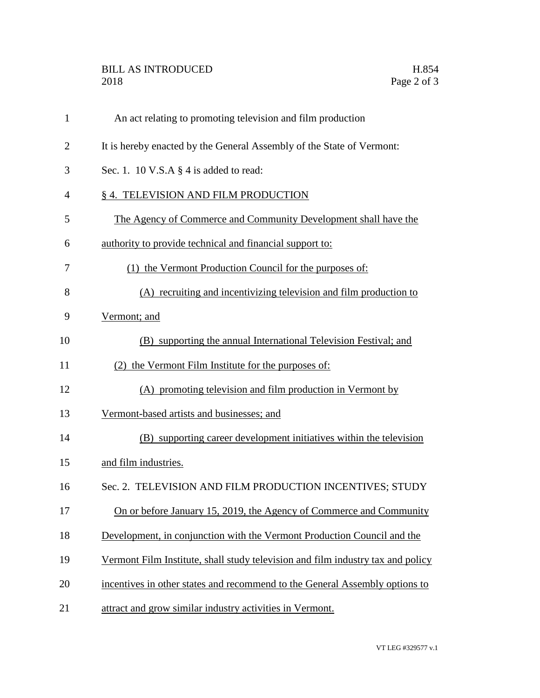## BILL AS INTRODUCED H.854 2018 Page 2 of 3

| $\mathbf{1}$   | An act relating to promoting television and film production                     |
|----------------|---------------------------------------------------------------------------------|
| $\overline{2}$ | It is hereby enacted by the General Assembly of the State of Vermont:           |
| 3              | Sec. 1. 10 V.S.A $\S$ 4 is added to read:                                       |
| 4              | § 4. TELEVISION AND FILM PRODUCTION                                             |
| 5              | The Agency of Commerce and Community Development shall have the                 |
| 6              | authority to provide technical and financial support to:                        |
| 7              | (1) the Vermont Production Council for the purposes of:                         |
| 8              | (A) recruiting and incentivizing television and film production to              |
| 9              | Vermont; and                                                                    |
| 10             | (B) supporting the annual International Television Festival; and                |
| 11             | (2) the Vermont Film Institute for the purposes of:                             |
| 12             | (A) promoting television and film production in Vermont by                      |
| 13             | Vermont-based artists and businesses; and                                       |
| 14             | (B) supporting career development initiatives within the television             |
| 15             | and film industries.                                                            |
| 16             | Sec. 2. TELEVISION AND FILM PRODUCTION INCENTIVES; STUDY                        |
| 17             | On or before January 15, 2019, the Agency of Commerce and Community             |
| 18             | Development, in conjunction with the Vermont Production Council and the         |
| 19             | Vermont Film Institute, shall study television and film industry tax and policy |
| 20             | incentives in other states and recommend to the General Assembly options to     |
| 21             | attract and grow similar industry activities in Vermont.                        |